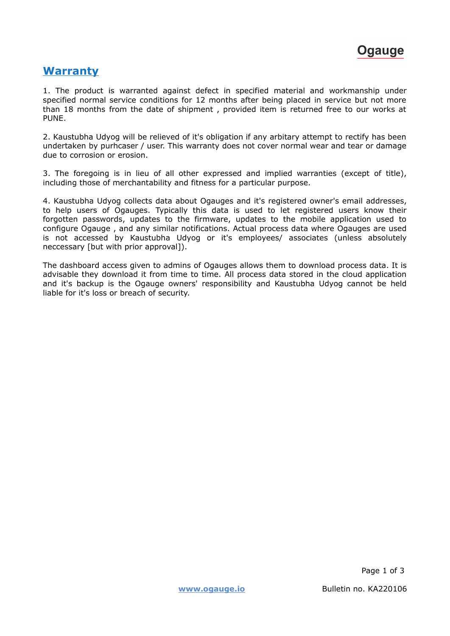## **Warranty**

1. The product is warranted against defect in specified material and workmanship under specified normal service conditions for 12 months after being placed in service but not more than 18 months from the date of shipment , provided item is returned free to our works at PUNE.

2. Kaustubha Udyog will be relieved of it's obligation if any arbitary attempt to rectify has been undertaken by purhcaser / user. This warranty does not cover normal wear and tear or damage due to corrosion or erosion.

3. The foregoing is in lieu of all other expressed and implied warranties (except of title), including those of merchantability and fitness for a particular purpose.

4. Kaustubha Udyog collects data about Ogauges and it's registered owner's email addresses, to help users of Ogauges. Typically this data is used to let registered users know their forgotten passwords, updates to the firmware, updates to the mobile application used to configure Ogauge , and any similar notifications. Actual process data where Ogauges are used is not accessed by Kaustubha Udyog or it's employees/ associates (unless absolutely neccessary [but with prior approval]).

The dashboard access given to admins of Ogauges allows them to download process data. It is advisable they download it from time to time. All process data stored in the cloud application and it's backup is the Ogauge owners' responsibility and Kaustubha Udyog cannot be held liable for it's loss or breach of security.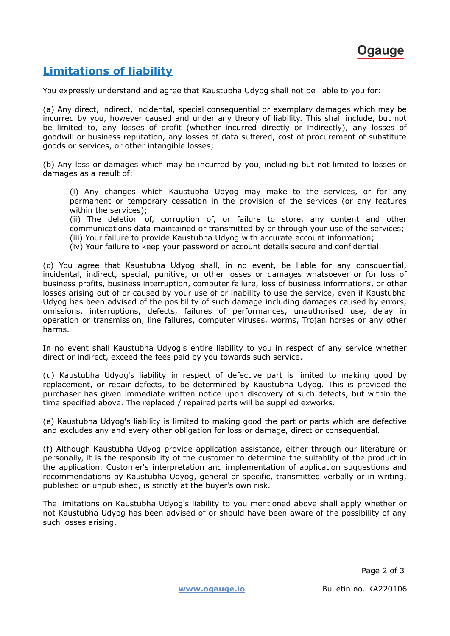

## **Limitations of liability**

You expressly understand and agree that Kaustubha Udyog shall not be liable to you for:

(a) Any direct, indirect, incidental, special consequential or exemplary damages which may be incurred by you, however caused and under any theory of liability. This shall include, but not be limited to, any losses of profit (whether incurred directly or indirectly), any losses of goodwill or business reputation, any losses of data suffered, cost of procurement of substitute goods or services, or other intangible losses;

(b) Any loss or damages which may be incurred by you, including but not limited to losses or damages as a result of:

(i) Any changes which Kaustubha Udyog may make to the services, or for any permanent or temporary cessation in the provision of the services (or any features within the services);

(ii) The deletion of, corruption of, or failure to store, any content and other communications data maintained or transmitted by or through your use of the services;

(iii) Your failure to provide Kaustubha Udyog with accurate account information;

(iv) Your failure to keep your password or account details secure and confidential.

(c) You agree that Kaustubha Udyog shall, in no event, be liable for any consquential, incidental, indirect, special, punitive, or other losses or damages whatsoever or for loss of business profits, business interruption, computer failure, loss of business informations, or other losses arising out of or caused by your use of or inability to use the service, even if Kaustubha Udyog has been advised of the posibility of such damage including damages caused by errors, omissions, interruptions, defects, failures of performances, unauthorised use, delay in operation or transmission, line failures, computer viruses, worms, Trojan horses or any other harms.

In no event shall Kaustubha Udyog's entire liability to you in respect of any service whether direct or indirect, exceed the fees paid by you towards such service.

(d) Kaustubha Udyog's liability in respect of defective part is limited to making good by replacement, or repair defects, to be determined by Kaustubha Udyog. This is provided the purchaser has given immediate written notice upon discovery of such defects, but within the time specified above. The replaced / repaired parts will be supplied exworks.

(e) Kaustubha Udyog's liability is limited to making good the part or parts which are defective and excludes any and every other obligation for loss or damage, direct or consequential.

(f) Although Kaustubha Udyog provide application assistance, either through our literature or personally, it is the responsibility of the customer to determine the suitablity of the product in the application. Customer's interpretation and implementation of application suggestions and recommendations by Kaustubha Udyog, general or specific, transmitted verbally or in writing, published or unpublished, is strictly at the buyer's own risk.

The limitations on Kaustubha Udyog's liability to you mentioned above shall apply whether or not Kaustubha Udyog has been advised of or should have been aware of the possibility of any such losses arising.